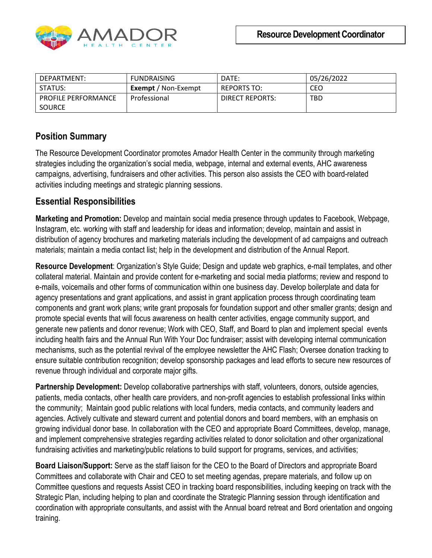

| DEPARTMENT:                | <b>FUNDRAISING</b>         | DATE:           | 05/26/2022 |
|----------------------------|----------------------------|-----------------|------------|
| STATUS:                    | <b>Exempt</b> / Non-Exempt | REPORTS TO:     | CEO        |
| <b>PROFILE PERFORMANCE</b> | Professional               | DIRECT REPORTS: | <b>TBD</b> |
| <b>SOURCE</b>              |                            |                 |            |

## **Position Summary**

The Resource Development Coordinator promotes Amador Health Center in the community through marketing strategies including the organization's social media, webpage, internal and external events, AHC awareness campaigns, advertising, fundraisers and other activities. This person also assists the CEO with board-related activities including meetings and strategic planning sessions.

## **Essential Responsibilities**

**Marketing and Promotion:** Develop and maintain social media presence through updates to Facebook, Webpage, Instagram, etc. working with staff and leadership for ideas and information; develop, maintain and assist in distribution of agency brochures and marketing materials including the development of ad campaigns and outreach materials; maintain a media contact list; help in the development and distribution of the Annual Report.

**Resource Development**: Organization's Style Guide; Design and update web graphics, e-mail templates, and other collateral material. Maintain and provide content for e-marketing and social media platforms; review and respond to e-mails, voicemails and other forms of communication within one business day. Develop boilerplate and data for agency presentations and grant applications, and assist in grant application process through coordinating team components and grant work plans; write grant proposals for foundation support and other smaller grants; design and promote special events that will focus awareness on health center activities, engage community support, and generate new patients and donor revenue; Work with CEO, Staff, and Board to plan and implement special events including health fairs and the Annual Run With Your Doc fundraiser; assist with developing internal communication mechanisms, such as the potential revival of the employee newsletter the AHC Flash; Oversee donation tracking to ensure suitable contribution recognition; develop sponsorship packages and lead efforts to secure new resources of revenue through individual and corporate major gifts.

**Partnership Development:** Develop collaborative partnerships with staff, volunteers, donors, outside agencies, patients, media contacts, other health care providers, and non-profit agencies to establish professional links within the community; Maintain good public relations with local funders, media contacts, and community leaders and agencies. Actively cultivate and steward current and potential donors and board members, with an emphasis on growing individual donor base. In collaboration with the CEO and appropriate Board Committees, develop, manage, and implement comprehensive strategies regarding activities related to donor solicitation and other organizational fundraising activities and marketing/public relations to build support for programs, services, and activities;

**Board Liaison/Support:** Serve as the staff liaison for the CEO to the Board of Directors and appropriate Board Committees and collaborate with Chair and CEO to set meeting agendas, prepare materials, and follow up on Committee questions and requests Assist CEO in tracking board responsibilities, including keeping on track with the Strategic Plan, including helping to plan and coordinate the Strategic Planning session through identification and coordination with appropriate consultants, and assist with the Annual board retreat and Bord orientation and ongoing training.